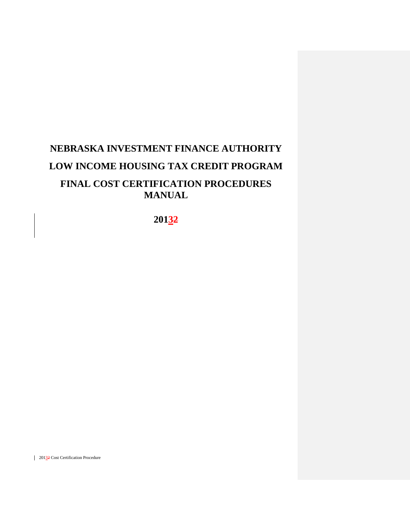# **NEBRASKA INVESTMENT FINANCE AUTHORITY LOW INCOME HOUSING TAX CREDIT PROGRAM FINAL COST CERTIFICATION PROCEDURES MANUAL**

**20132**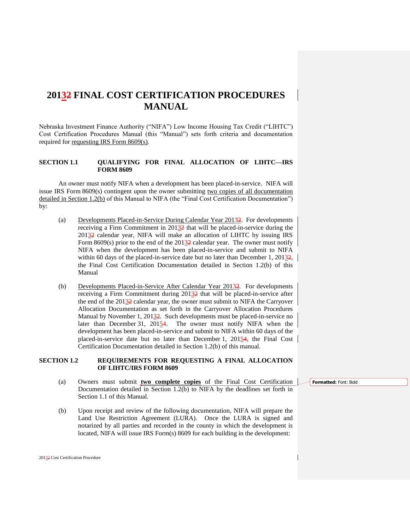# **20132 FINAL COST CERTIFICATION PROCEDURES MANUAL**

Nebraska Investment Finance Authority ("NIFA") Low Income Housing Tax Credit ("LIHTC") Cost Certification Procedures Manual (this "Manual") sets forth criteria and documentation required for requesting IRS Form 8609(s).

# **SECTION 1.1 QUALIFYING FOR FINAL ALLOCATION OF LIHTC—IRS FORM 8609**

An owner must notify NIFA when a development has been placed-in-service. NIFA will issue IRS Form 8609(s) contingent upon the owner submitting two copies of all documentation detailed in Section 1.2(b) of this Manual to NIFA (the "Final Cost Certification Documentation") by:

- (a) Developments Placed-in-Service During Calendar Year 20132. For developments receiving a Firm Commitment in 20132 that will be placed-in-service during the 20132 calendar year, NIFA will make an allocation of LIHTC by issuing IRS Form 8609(s) prior to the end of the 20132 calendar year. The owner must notify NIFA when the development has been placed-in-service and submit to NIFA within 60 days of the placed-in-service date but no later than December 1, 20132, the Final Cost Certification Documentation detailed in Section 1.2(b) of this Manual
- (b) Developments Placed-in-Service After Calendar Year 20132. For developments receiving a Firm Commitment during 20132 that will be placed-in-service after the end of the 20132 calendar year, the owner must submit to NIFA the Carryover Allocation Documentation as set forth in the Carryover Allocation Procedures Manual by November 1, 20132. Such developments must be placed-in-service no later than December 31, 20154. The owner must notify NIFA when the development has been placed-in-service and submit to NIFA within 60 days of the placed-in-service date but no later than December 1, 20154, the Final Cost Certification Documentation detailed in Section 1.2(b) of this manual.

# **SECTION 1.2 REQUIREMENTS FOR REQUESTING A FINAL ALLOCATION OF LIHTC/IRS FORM 8609**

- (a) Owners must submit **two complete copies** of the Final Cost Certification Documentation detailed in Section 1.2(b) to NIFA by the deadlines set forth in Section 1.1 of this Manual.
- (b) Upon receipt and review of the following documentation, NIFA will prepare the Land Use Restriction Agreement (LURA). Once the LURA is signed and notarized by all parties and recorded in the county in which the development is located, NIFA will issue IRS Form(s) 8609 for each building in the development:

#### **Formatted:** Font: Bold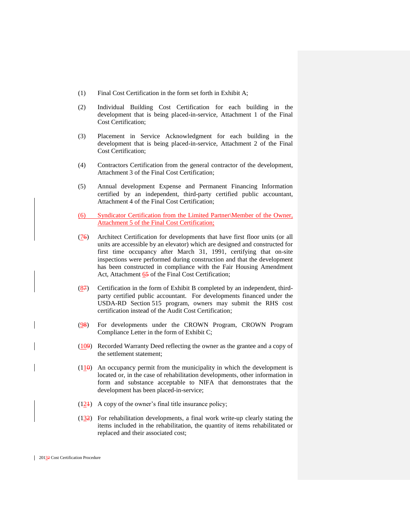- (1) Final Cost Certification in the form set forth in Exhibit A;
- (2) Individual Building Cost Certification for each building in the development that is being placed-in-service, Attachment 1 of the Final Cost Certification;
- (3) Placement in Service Acknowledgment for each building in the development that is being placed-in-service, Attachment 2 of the Final Cost Certification;
- (4) Contractors Certification from the general contractor of the development, Attachment 3 of the Final Cost Certification;
- (5) Annual development Expense and Permanent Financing Information certified by an independent, third-party certified public accountant, Attachment 4 of the Final Cost Certification;
- (6) Syndicator Certification from the Limited Partner\Member of the Owner, Attachment 5 of the Final Cost Certification;
- (76) Architect Certification for developments that have first floor units (or all units are accessible by an elevator) which are designed and constructed for first time occupancy after March 31, 1991, certifying that on-site inspections were performed during construction and that the development has been constructed in compliance with the Fair Housing Amendment Act, Attachment 65 of the Final Cost Certification;
- $(87)$  Certification in the form of Exhibit B completed by an independent, thirdparty certified public accountant. For developments financed under the USDA-RD Section 515 program, owners may submit the RHS cost certification instead of the Audit Cost Certification;
- (98) For developments under the CROWN Program, CROWN Program Compliance Letter in the form of Exhibit C;
- (109) Recorded Warranty Deed reflecting the owner as the grantee and a copy of the settlement statement;
- $(110)$  An occupancy permit from the municipality in which the development is located or, in the case of rehabilitation developments, other information in form and substance acceptable to NIFA that demonstrates that the development has been placed-in-service;
- $(12)$  A copy of the owner's final title insurance policy;
- $(132)$  For rehabilitation developments, a final work write-up clearly stating the items included in the rehabilitation, the quantity of items rehabilitated or replaced and their associated cost;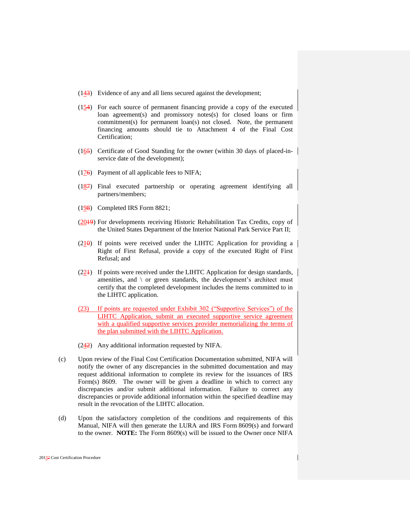- (143) Evidence of any and all liens secured against the development;
- $(154)$  For each source of permanent financing provide a copy of the executed loan agreement(s) and promissory notes(s) for closed loans or firm commitment(s) for permanent loan(s) not closed. Note, the permanent financing amounts should tie to Attachment 4 of the Final Cost Certification;
- (165) Certificate of Good Standing for the owner (within 30 days of placed-inservice date of the development);
- $(176)$  Payment of all applicable fees to NIFA;
- $(187)$  Final executed partnership or operating agreement identifying all partners/members;
- (198) Completed IRS Form 8821;
- (2019) For developments receiving Historic Rehabilitation Tax Credits, copy of the United States Department of the Interior National Park Service Part II;
- $(210)$  If points were received under the LIHTC Application for providing a Right of First Refusal, provide a copy of the executed Right of First Refusal; and
- $(224)$  If points were received under the LIHTC Application for design standards, amenities, and \ or green standards, the development's architect must certify that the completed development includes the items committed to in the LIHTC application.
- (23) If points are requested under Exhibit 302 ("Supportive Services") of the LIHTC Application, submit an executed supportive service agreement with a qualified supportive services provider memorializing the terms of the plan submitted with the LIHTC Application.
- $(242)$  Any additional information requested by NIFA.
- (c) Upon review of the Final Cost Certification Documentation submitted, NIFA will notify the owner of any discrepancies in the submitted documentation and may request additional information to complete its review for the issuances of IRS Form(s) 8609. The owner will be given a deadline in which to correct any discrepancies and/or submit additional information. Failure to correct any discrepancies or provide additional information within the specified deadline may result in the revocation of the LIHTC allocation.
- (d) Upon the satisfactory completion of the conditions and requirements of this Manual, NIFA will then generate the LURA and IRS Form 8609(s) and forward to the owner. **NOTE:** The Form 8609(s) will be issued to the Owner once NIFA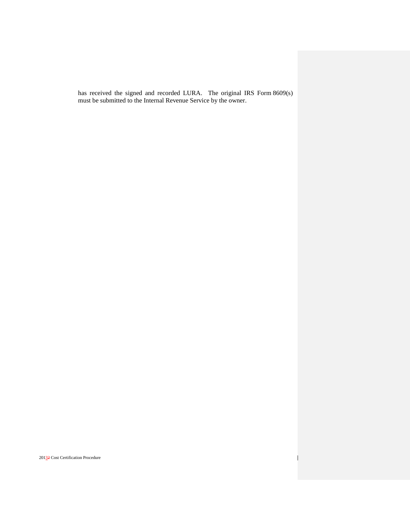has received the signed and recorded LURA. The original IRS Form 8609(s) must be submitted to the Internal Revenue Service by the owner.

 $\mathbf{I}$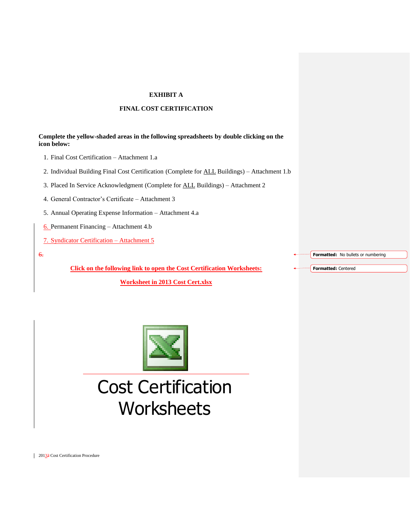# **EXHIBIT A**

# **FINAL COST CERTIFICATION**

# **Complete the yellow-shaded areas in the following spreadsheets by double clicking on the icon below:**

- 1. Final Cost Certification Attachment 1.a
- 2. Individual Building Final Cost Certification (Complete for ALL Buildings) Attachment 1.b
- 3. Placed In Service Acknowledgment (Complete for ALL Buildings) Attachment 2
- 4. General Contractor's Certificate Attachment 3
- 5. Annual Operating Expense Information Attachment 4.a
- 6. Permanent Financing Attachment 4.b
- 7. Syndicator Certification Attachment 5
- 6.

**Click on the following link to open the Cost Certification Worksheets:**

**[Worksheet in 2013 Cost Cert.xlsx](Worksheet%20in%202013%20Cost%20Cert.xlsx)**

**Formatted:** No bullets or numbering

**Formatted:** Centered



# Cost Certification **Worksheets**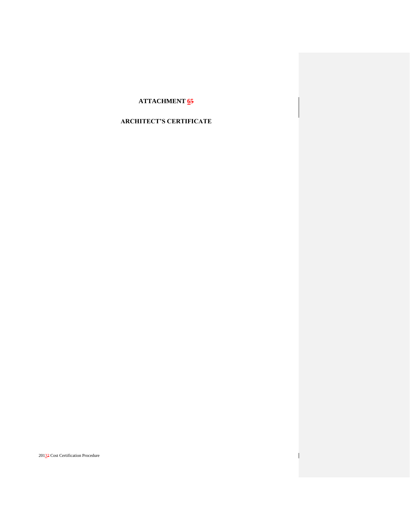# **ATTACHMENT 65**

# **ARCHITECT'S CERTIFICATE**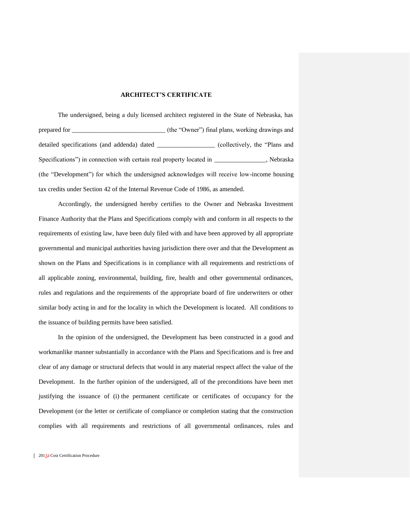## **ARCHITECT'S CERTIFICATE**

The undersigned, being a duly licensed architect registered in the State of Nebraska, has prepared for \_\_\_\_\_\_\_\_\_\_\_\_\_\_\_\_\_\_\_\_\_\_\_\_\_\_\_\_\_ (the "Owner") final plans, working drawings and detailed specifications (and addenda) dated \_\_\_\_\_\_\_\_\_\_\_\_\_\_\_\_\_ (collectively, the "Plans and Specifications") in connection with certain real property located in  $\blacksquare$ , Nebraska (the "Development") for which the undersigned acknowledges will receive low-income housing tax credits under Section 42 of the Internal Revenue Code of 1986, as amended.

Accordingly, the undersigned hereby certifies to the Owner and Nebraska Investment Finance Authority that the Plans and Specifications comply with and conform in all respects to the requirements of existing law, have been duly filed with and have been approved by all appropriate governmental and municipal authorities having jurisdiction there over and that the Development as shown on the Plans and Specifications is in compliance with all requirements and restrictions of all applicable zoning, environmental, building, fire, health and other governmental ordinances, rules and regulations and the requirements of the appropriate board of fire underwriters or other similar body acting in and for the locality in which the Development is located. All conditions to the issuance of building permits have been satisfied.

In the opinion of the undersigned, the Development has been constructed in a good and workmanlike manner substantially in accordance with the Plans and Specifications and is free and clear of any damage or structural defects that would in any material respect affect the value of the Development. In the further opinion of the undersigned, all of the preconditions have been met justifying the issuance of (i) the permanent certificate or certificates of occupancy for the Development (or the letter or certificate of compliance or completion stating that the construction complies with all requirements and restrictions of all governmental ordinances, rules and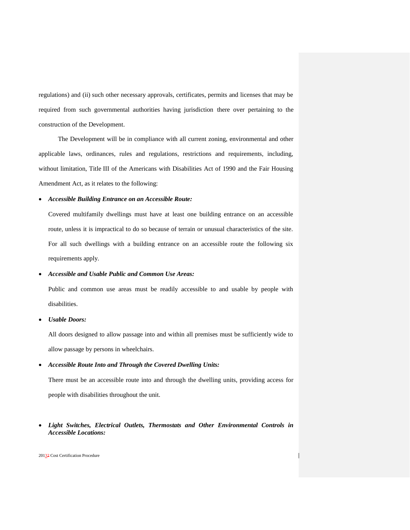regulations) and (ii) such other necessary approvals, certificates, permits and licenses that may be required from such governmental authorities having jurisdiction there over pertaining to the construction of the Development.

The Development will be in compliance with all current zoning, environmental and other applicable laws, ordinances, rules and regulations, restrictions and requirements, including, without limitation, Title III of the Americans with Disabilities Act of 1990 and the Fair Housing Amendment Act, as it relates to the following:

# *Accessible Building Entrance on an Accessible Route:*

Covered multifamily dwellings must have at least one building entrance on an accessible route, unless it is impractical to do so because of terrain or unusual characteristics of the site. For all such dwellings with a building entrance on an accessible route the following six requirements apply.

# *Accessible and Usable Public and Common Use Areas:*

Public and common use areas must be readily accessible to and usable by people with disabilities.

*Usable Doors:*

All doors designed to allow passage into and within all premises must be sufficiently wide to allow passage by persons in wheelchairs.

# *Accessible Route Into and Through the Covered Dwelling Units:*

There must be an accessible route into and through the dwelling units, providing access for people with disabilities throughout the unit.

# *Light Switches, Electrical Outlets, Thermostats and Other Environmental Controls in Accessible Locations:*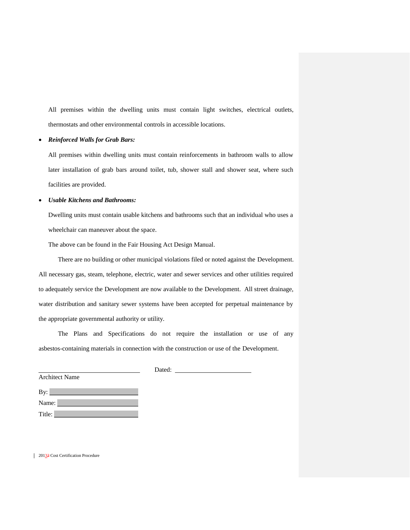All premises within the dwelling units must contain light switches, electrical outlets, thermostats and other environmental controls in accessible locations.

# *Reinforced Walls for Grab Bars:*

All premises within dwelling units must contain reinforcements in bathroom walls to allow later installation of grab bars around toilet, tub, shower stall and shower seat, where such facilities are provided.

# *Usable Kitchens and Bathrooms:*

Dwelling units must contain usable kitchens and bathrooms such that an individual who uses a wheelchair can maneuver about the space.

The above can be found in the Fair Housing Act Design Manual.

There are no building or other municipal violations filed or noted against the Development. All necessary gas, steam, telephone, electric, water and sewer services and other utilities required to adequately service the Development are now available to the Development. All street drainage, water distribution and sanitary sewer systems have been accepted for perpetual maintenance by the appropriate governmental authority or utility.

The Plans and Specifications do not require the installation or use of any asbestos-containing materials in connection with the construction or use of the Development.

Dated:

| <b>Architect Name</b> |
|-----------------------|
| By:                   |
| Name:                 |
| Title:                |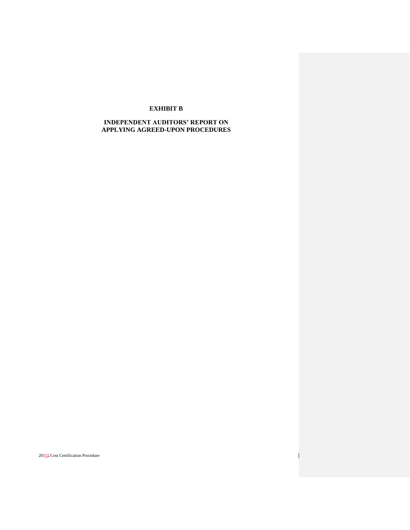# **EXHIBIT B**

# **INDEPENDENT AUDITORS' REPORT ON APPLYING AGREED-UPON PROCEDURES**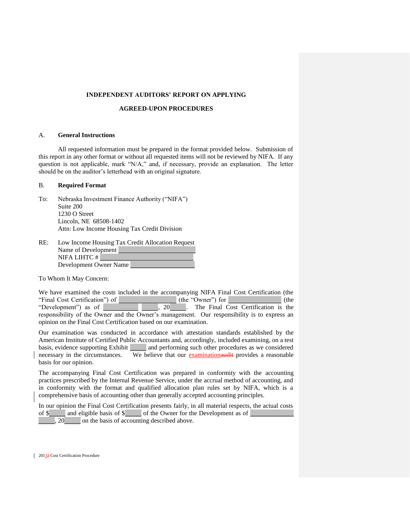#### **INDEPENDENT AUDITORS' REPORT ON APPLYING**

## **AGREED-UPON PROCEDURES**

#### A. **General Instructions**

All requested information must be prepared in the format provided below. Submission of this report in any other format or without all requested items will not be reviewed by NIFA. If any question is not applicable, mark "N/A," and, if necessary, provide an explanation. The letter should be on the auditor's letterhead with an original signature.

# B. **Required Format**

- To: Nebraska Investment Finance Authority ("NIFA") Suite 200 1230 O Street Lincoln, NE 68508-1402 Attn: Low Income Housing Tax Credit Division
- RE: Low Income Housing Tax Credit Allocation Request Name of Development NIFA LIHTC # Development Owner Name

To Whom It May Concern:

We have examined the costs included in the accompanying NIFA Final Cost Certification (the "Final Cost Certification") of  $\begin{array}{c|c} \text{(the "Owner") for} & \text{(the "Owner") for 1, 20} \\ \text{(the "Outer") for 1, 20} & \text{(the "Fourier") for 1, 20} \\ \text{(the "Output") for 1, 20} & \text{(the "Fourier") for 1, 20} \\ \text{(the "Output") for 1, 20} & \text{(the "Output") for 1, 20} \\ \text{(the "Output") for 1, 20} & \text{(the "Output") for 1, 20} \\ \text{(the "Output") for 1, 20} & \text{(the "Output") for$  $\overline{\hspace{1cm}}$ , 20 . The Final Cost Certification is the responsibility of the Owner and the Owner's management. Our responsibility is to express an opinion on the Final Cost Certification based on our examination.

Our examination was conducted in accordance with attestation standards established by the American Institute of Certified Public Accountants and, accordingly, included examining, on a test basis, evidence supporting Exhibit and performing such other procedures as we considered necessary in the circumstances. We believe that our examinationaudit provides a reasonable basis for our opinion.

The accompanying Final Cost Certification was prepared in conformity with the accounting practices prescribed by the Internal Revenue Service, under the accrual method of accounting, and in conformity with the format and qualified allocation plan rules set by NIFA, which is a comprehensive basis of accounting other than generally accepted accounting principles.

In our opinion the Final Cost Certification presents fairly, in all material respects, the actual costs of \$ and eligible basis of \$ of the Owner for the Development as of , 20 on the basis of accounting described above.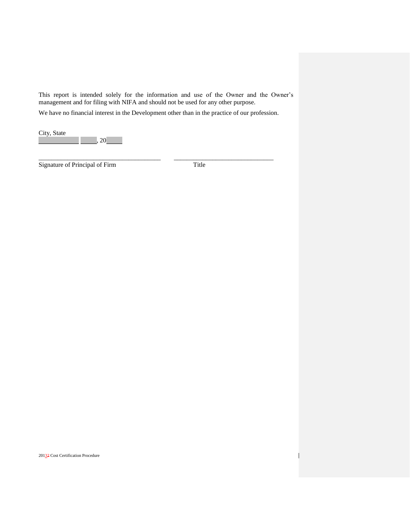This report is intended solely for the information and use of the Owner and the Owner's management and for filing with NIFA and should not be used for any other purpose.

We have no financial interest in the Development other than in the practice of our profession.

\_\_\_\_\_\_\_\_\_\_\_\_\_\_\_\_\_\_\_\_\_\_\_\_\_\_\_\_\_\_\_\_\_\_\_\_\_\_ \_\_\_\_\_\_\_\_\_\_\_\_\_\_\_\_\_\_\_\_\_\_\_\_\_\_\_\_\_\_\_

City, State  $, 20$ 

Signature of Principal of Firm Title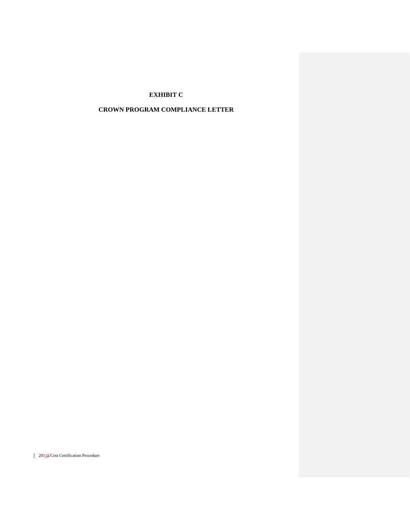# **EXHIBIT C**

# **CROWN PROGRAM COMPLIANCE LETTER**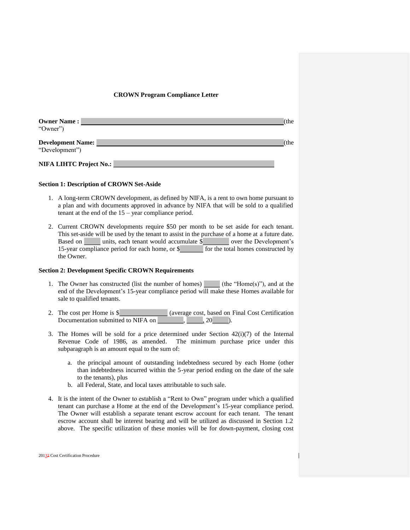### **CROWN Program Compliance Letter**

| <b>Owner Name:</b><br>"Owner")             | (the |
|--------------------------------------------|------|
| <b>Development Name:</b><br>"Development") | the) |
| NIFA LIHTC Project No.:                    |      |

# **Section 1: Description of CROWN Set-Aside**

- 1. A long-term CROWN development, as defined by NIFA, is a rent to own home pursuant to a plan and with documents approved in advance by NIFA that will be sold to a qualified tenant at the end of the 15 – year compliance period.
- 2. Current CROWN developments require \$50 per month to be set aside for each tenant. This set-aside will be used by the tenant to assist in the purchase of a home at a future date. Based on units, each tenant would accumulate \$ over the Development's 15-year compliance period for each home, or \$ for the total homes constructed by the Owner.

#### **Section 2: Development Specific CROWN Requirements**

- 1. The Owner has constructed (list the number of homes) (the "Home(s)"), and at the end of the Development's 15-year compliance period will make these Homes available for sale to qualified tenants.
- 2. The cost per Home is \$ (average cost, based on Final Cost Certification Documentation submitted to NIFA on , , , , 20 ).
- 3. The Homes will be sold for a price determined under Section  $42(i)(7)$  of the Internal Revenue Code of 1986, as amended. The minimum purchase price under this subparagraph is an amount equal to the sum of:
	- a. the principal amount of outstanding indebtedness secured by each Home (other than indebtedness incurred within the 5-year period ending on the date of the sale to the tenants), plus
	- b. all Federal, State, and local taxes attributable to such sale.
- 4. It is the intent of the Owner to establish a "Rent to Own" program under which a qualified tenant can purchase a Home at the end of the Development's 15-year compliance period. The Owner will establish a separate tenant escrow account for each tenant. The tenant escrow account shall be interest bearing and will be utilized as discussed in Section 1.2 above. The specific utilization of these monies will be for down-payment, closing cost